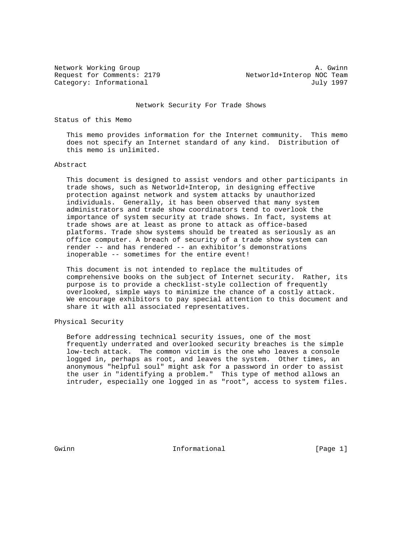Request for Comments: 2179 Metworld+Interop NOC Team Category: Informational and Indianal July 1997

Network Working Group and the set of the set of the set of the set of the set of the set of the set of the set of the set of the set of the set of the set of the set of the set of the set of the set of the set of the set o

#### Network Security For Trade Shows

## Status of this Memo

 This memo provides information for the Internet community. This memo does not specify an Internet standard of any kind. Distribution of this memo is unlimited.

### Abstract

 This document is designed to assist vendors and other participants in trade shows, such as Networld+Interop, in designing effective protection against network and system attacks by unauthorized individuals. Generally, it has been observed that many system administrators and trade show coordinators tend to overlook the importance of system security at trade shows. In fact, systems at trade shows are at least as prone to attack as office-based platforms. Trade show systems should be treated as seriously as an office computer. A breach of security of a trade show system can render -- and has rendered -- an exhibitor's demonstrations inoperable -- sometimes for the entire event!

 This document is not intended to replace the multitudes of comprehensive books on the subject of Internet security. Rather, its purpose is to provide a checklist-style collection of frequently overlooked, simple ways to minimize the chance of a costly attack. We encourage exhibitors to pay special attention to this document and share it with all associated representatives.

# Physical Security

 Before addressing technical security issues, one of the most frequently underrated and overlooked security breaches is the simple low-tech attack. The common victim is the one who leaves a console logged in, perhaps as root, and leaves the system. Other times, an anonymous "helpful soul" might ask for a password in order to assist the user in "identifying a problem." This type of method allows an intruder, especially one logged in as "root", access to system files.

Gwinn **Informational** Informational [Page 1]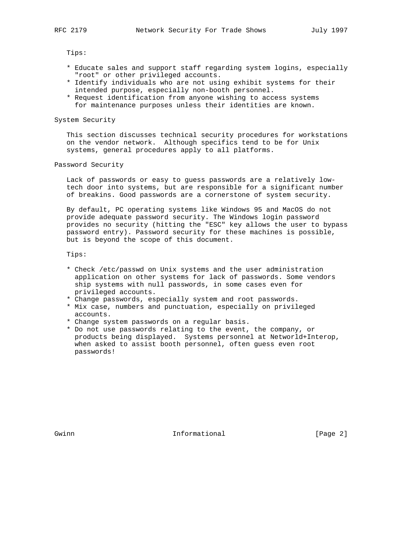Tips:

- \* Educate sales and support staff regarding system logins, especially "root" or other privileged accounts.
- \* Identify individuals who are not using exhibit systems for their intended purpose, especially non-booth personnel.
- \* Request identification from anyone wishing to access systems for maintenance purposes unless their identities are known.

System Security

 This section discusses technical security procedures for workstations on the vendor network. Although specifics tend to be for Unix systems, general procedures apply to all platforms.

Password Security

 Lack of passwords or easy to guess passwords are a relatively low tech door into systems, but are responsible for a significant number of breakins. Good passwords are a cornerstone of system security.

 By default, PC operating systems like Windows 95 and MacOS do not provide adequate password security. The Windows login password provides no security (hitting the "ESC" key allows the user to bypass password entry). Password security for these machines is possible, but is beyond the scope of this document.

Tips:

- \* Check /etc/passwd on Unix systems and the user administration application on other systems for lack of passwords. Some vendors ship systems with null passwords, in some cases even for privileged accounts.
- \* Change passwords, especially system and root passwords.
- \* Mix case, numbers and punctuation, especially on privileged accounts.
- \* Change system passwords on a regular basis.
- \* Do not use passwords relating to the event, the company, or products being displayed. Systems personnel at Networld+Interop, when asked to assist booth personnel, often guess even root passwords!

Gwinn **Informational** Informational [Page 2]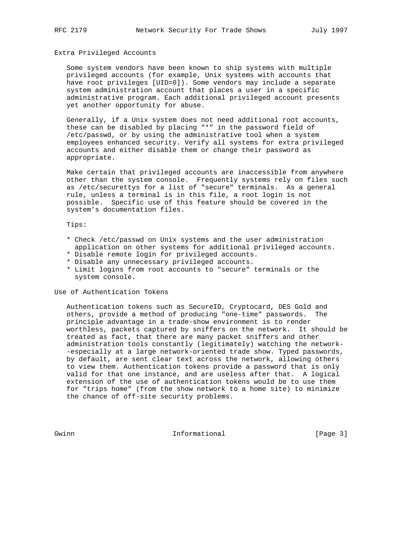## Extra Privileged Accounts

 Some system vendors have been known to ship systems with multiple privileged accounts (for example, Unix systems with accounts that have root privileges [UID=0]). Some vendors may include a separate system administration account that places a user in a specific administrative program. Each additional privileged account presents yet another opportunity for abuse.

 Generally, if a Unix system does not need additional root accounts, these can be disabled by placing "\*" in the password field of /etc/passwd, or by using the administrative tool when a system employees enhanced security. Verify all systems for extra privileged accounts and either disable them or change their password as appropriate.

 Make certain that privileged accounts are inaccessible from anywhere other than the system console. Frequently systems rely on files such as /etc/securettys for a list of "secure" terminals. As a general rule, unless a terminal is in this file, a root login is not possible. Specific use of this feature should be covered in the system's documentation files.

# Tips:

- \* Check /etc/passwd on Unix systems and the user administration application on other systems for additional privileged accounts.
- \* Disable remote login for privileged accounts.
- \* Disable any unnecessary privileged accounts.
- \* Limit logins from root accounts to "secure" terminals or the system console.

#### Use of Authentication Tokens

 Authentication tokens such as SecureID, Cryptocard, DES Gold and others, provide a method of producing "one-time" passwords. The principle advantage in a trade-show environment is to render worthless, packets captured by sniffers on the network. It should be treated as fact, that there are many packet sniffers and other administration tools constantly (legitimately) watching the network- -especially at a large network-oriented trade show. Typed passwords, by default, are sent clear text across the network, allowing others to view them. Authentication tokens provide a password that is only valid for that one instance, and are useless after that. A logical extension of the use of authentication tokens would be to use them for "trips home" (from the show network to a home site) to minimize the chance of off-site security problems.

Gwinn **Informational** Informational [Page 3]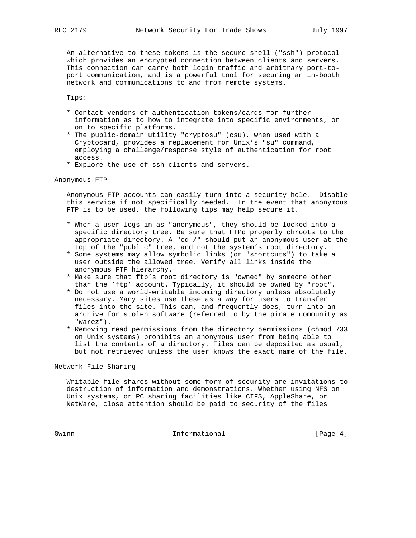An alternative to these tokens is the secure shell ("ssh") protocol

 which provides an encrypted connection between clients and servers. This connection can carry both login traffic and arbitrary port-to port communication, and is a powerful tool for securing an in-booth network and communications to and from remote systems.

Tips:

- \* Contact vendors of authentication tokens/cards for further information as to how to integrate into specific environments, or on to specific platforms.
- \* The public-domain utility "cryptosu" (csu), when used with a Cryptocard, provides a replacement for Unix's "su" command, employing a challenge/response style of authentication for root access.
- \* Explore the use of ssh clients and servers.

Anonymous FTP

 Anonymous FTP accounts can easily turn into a security hole. Disable this service if not specifically needed. In the event that anonymous FTP is to be used, the following tips may help secure it.

- \* When a user logs in as "anonymous", they should be locked into a specific directory tree. Be sure that FTPd properly chroots to the appropriate directory. A "cd /" should put an anonymous user at the top of the "public" tree, and not the system's root directory.
	- \* Some systems may allow symbolic links (or "shortcuts") to take a user outside the allowed tree. Verify all links inside the anonymous FTP hierarchy.
	- \* Make sure that ftp's root directory is "owned" by someone other than the 'ftp' account. Typically, it should be owned by "root".
	- \* Do not use a world-writable incoming directory unless absolutely necessary. Many sites use these as a way for users to transfer files into the site. This can, and frequently does, turn into an archive for stolen software (referred to by the pirate community as "warez").
	- \* Removing read permissions from the directory permissions (chmod 733 on Unix systems) prohibits an anonymous user from being able to list the contents of a directory. Files can be deposited as usual, but not retrieved unless the user knows the exact name of the file.

Network File Sharing

 Writable file shares without some form of security are invitations to destruction of information and demonstrations. Whether using NFS on Unix systems, or PC sharing facilities like CIFS, AppleShare, or NetWare, close attention should be paid to security of the files

Gwinn Gwinn Informational [Page 4]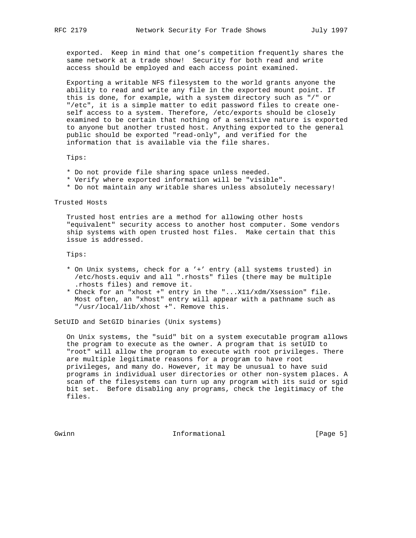exported. Keep in mind that one's competition frequently shares the same network at a trade show! Security for both read and write access should be employed and each access point examined.

 Exporting a writable NFS filesystem to the world grants anyone the ability to read and write any file in the exported mount point. If this is done, for example, with a system directory such as "/" or "/etc", it is a simple matter to edit password files to create one self access to a system. Therefore, /etc/exports should be closely examined to be certain that nothing of a sensitive nature is exported to anyone but another trusted host. Anything exported to the general public should be exported "read-only", and verified for the information that is available via the file shares.

Tips:

- \* Do not provide file sharing space unless needed.
- \* Verify where exported information will be "visible".
- \* Do not maintain any writable shares unless absolutely necessary!

Trusted Hosts

 Trusted host entries are a method for allowing other hosts "equivalent" security access to another host computer. Some vendors ship systems with open trusted host files. Make certain that this issue is addressed.

Tips:

- \* On Unix systems, check for a '+' entry (all systems trusted) in /etc/hosts.equiv and all ".rhosts" files (there may be multiple .rhosts files) and remove it.
- \* Check for an "xhost +" entry in the "...X11/xdm/Xsession" file. Most often, an "xhost" entry will appear with a pathname such as "/usr/local/lib/xhost +". Remove this.

SetUID and SetGID binaries (Unix systems)

 On Unix systems, the "suid" bit on a system executable program allows the program to execute as the owner. A program that is setUID to "root" will allow the program to execute with root privileges. There are multiple legitimate reasons for a program to have root privileges, and many do. However, it may be unusual to have suid programs in individual user directories or other non-system places. A scan of the filesystems can turn up any program with its suid or sgid bit set. Before disabling any programs, check the legitimacy of the files.

Gwinn **Informational** Informational [Page 5]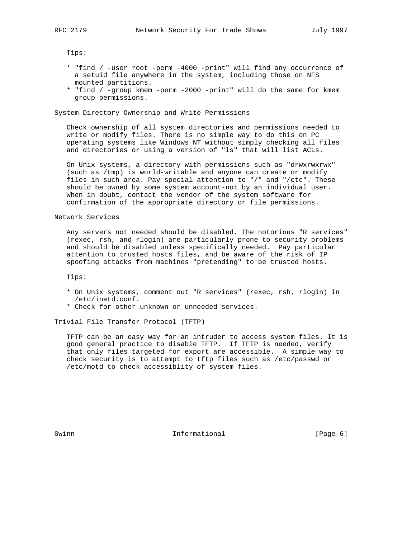Tips:

- \* "find / -user root -perm -4000 -print" will find any occurrence of a setuid file anywhere in the system, including those on NFS mounted partitions.
- \* "find / -group kmem -perm -2000 -print" will do the same for kmem group permissions.

#### System Directory Ownership and Write Permissions

 Check ownership of all system directories and permissions needed to write or modify files. There is no simple way to do this on PC operating systems like Windows NT without simply checking all files and directories or using a version of "ls" that will list ACLs.

 On Unix systems, a directory with permissions such as "drwxrwxrwx" (such as /tmp) is world-writable and anyone can create or modify files in such area. Pay special attention to "/" and "/etc". These should be owned by some system account-not by an individual user. When in doubt, contact the vendor of the system software for confirmation of the appropriate directory or file permissions.

#### Network Services

 Any servers not needed should be disabled. The notorious "R services" (rexec, rsh, and rlogin) are particularly prone to security problems and should be disabled unless specifically needed. Pay particular attention to trusted hosts files, and be aware of the risk of IP spoofing attacks from machines "pretending" to be trusted hosts.

Tips:

- \* On Unix systems, comment out "R services" (rexec, rsh, rlogin) in /etc/inetd.conf.
- \* Check for other unknown or unneeded services.

Trivial File Transfer Protocol (TFTP)

 TFTP can be an easy way for an intruder to access system files. It is good general practice to disable TFTP. If TFTP is needed, verify that only files targeted for export are accessible. A simple way to check security is to attempt to tftp files such as /etc/passwd or /etc/motd to check accessiblity of system files.

Gwinn **Informational** Informational [Page 6]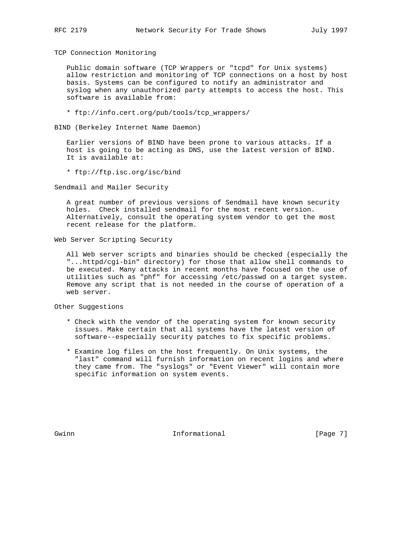TCP Connection Monitoring

 Public domain software (TCP Wrappers or "tcpd" for Unix systems) allow restriction and monitoring of TCP connections on a host by host basis. Systems can be configured to notify an administrator and syslog when any unauthorized party attempts to access the host. This software is available from:

\* ftp://info.cert.org/pub/tools/tcp\_wrappers/

BIND (Berkeley Internet Name Daemon)

 Earlier versions of BIND have been prone to various attacks. If a host is going to be acting as DNS, use the latest version of BIND. It is available at:

\* ftp://ftp.isc.org/isc/bind

Sendmail and Mailer Security

 A great number of previous versions of Sendmail have known security holes. Check installed sendmail for the most recent version. Alternatively, consult the operating system vendor to get the most recent release for the platform.

Web Server Scripting Security

 All Web server scripts and binaries should be checked (especially the "...httpd/cgi-bin" directory) for those that allow shell commands to be executed. Many attacks in recent months have focused on the use of utilities such as "phf" for accessing /etc/passwd on a target system. Remove any script that is not needed in the course of operation of a web server.

Other Suggestions

- \* Check with the vendor of the operating system for known security issues. Make certain that all systems have the latest version of software--especially security patches to fix specific problems.
- \* Examine log files on the host frequently. On Unix systems, the "last" command will furnish information on recent logins and where they came from. The "syslogs" or "Event Viewer" will contain more specific information on system events.

Gwinn **Informational** Informational [Page 7]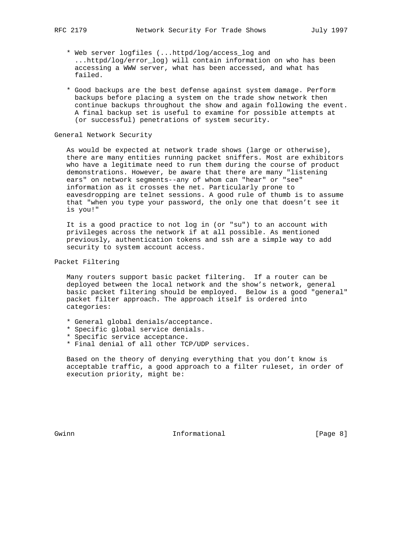- \* Web server logfiles (...httpd/log/access\_log and ...httpd/log/error\_log) will contain information on who has been accessing a WWW server, what has been accessed, and what has failed.
- \* Good backups are the best defense against system damage. Perform backups before placing a system on the trade show network then continue backups throughout the show and again following the event. A final backup set is useful to examine for possible attempts at (or successful) penetrations of system security.

# General Network Security

 As would be expected at network trade shows (large or otherwise), there are many entities running packet sniffers. Most are exhibitors who have a legitimate need to run them during the course of product demonstrations. However, be aware that there are many "listening ears" on network segments--any of whom can "hear" or "see" information as it crosses the net. Particularly prone to eavesdropping are telnet sessions. A good rule of thumb is to assume that "when you type your password, the only one that doesn't see it is you!"

 It is a good practice to not log in (or "su") to an account with privileges across the network if at all possible. As mentioned previously, authentication tokens and ssh are a simple way to add security to system account access.

Packet Filtering

 Many routers support basic packet filtering. If a router can be deployed between the local network and the show's network, general basic packet filtering should be employed. Below is a good "general" packet filter approach. The approach itself is ordered into categories:

- \* General global denials/acceptance.
- \* Specific global service denials.
- \* Specific service acceptance.
- \* Final denial of all other TCP/UDP services.

 Based on the theory of denying everything that you don't know is acceptable traffic, a good approach to a filter ruleset, in order of execution priority, might be:

Gwinn **Informational** Informational [Page 8]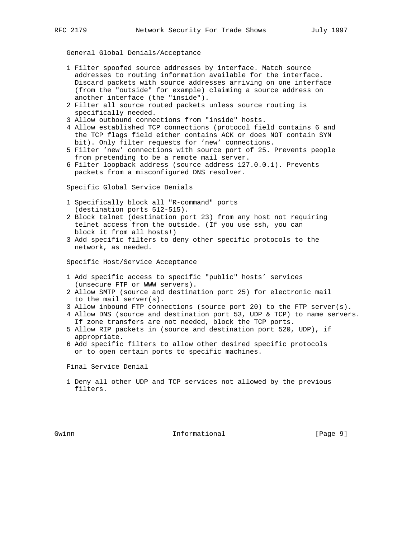General Global Denials/Acceptance

- 1 Filter spoofed source addresses by interface. Match source addresses to routing information available for the interface. Discard packets with source addresses arriving on one interface (from the "outside" for example) claiming a source address on another interface (the "inside").
- 2 Filter all source routed packets unless source routing is specifically needed.
- 3 Allow outbound connections from "inside" hosts.
- 4 Allow established TCP connections (protocol field contains 6 and the TCP flags field either contains ACK or does NOT contain SYN bit). Only filter requests for 'new' connections.
- 5 Filter 'new' connections with source port of 25. Prevents people from pretending to be a remote mail server.
- 6 Filter loopback address (source address 127.0.0.1). Prevents packets from a misconfigured DNS resolver.

Specific Global Service Denials

- 1 Specifically block all "R-command" ports (destination ports 512-515).
- 2 Block telnet (destination port 23) from any host not requiring telnet access from the outside. (If you use ssh, you can block it from all hosts!)
- 3 Add specific filters to deny other specific protocols to the network, as needed.

Specific Host/Service Acceptance

- 1 Add specific access to specific "public" hosts' services (unsecure FTP or WWW servers).
- 2 Allow SMTP (source and destination port 25) for electronic mail to the mail server(s).
- 3 Allow inbound FTP connections (source port 20) to the FTP server(s).
- 4 Allow DNS (source and destination port 53, UDP & TCP) to name servers. If zone transfers are not needed, block the TCP ports.
- 5 Allow RIP packets in (source and destination port 520, UDP), if appropriate.
- 6 Add specific filters to allow other desired specific protocols or to open certain ports to specific machines.

Final Service Denial

 1 Deny all other UDP and TCP services not allowed by the previous filters.

Gwinn **Informational** Informational [Page 9]